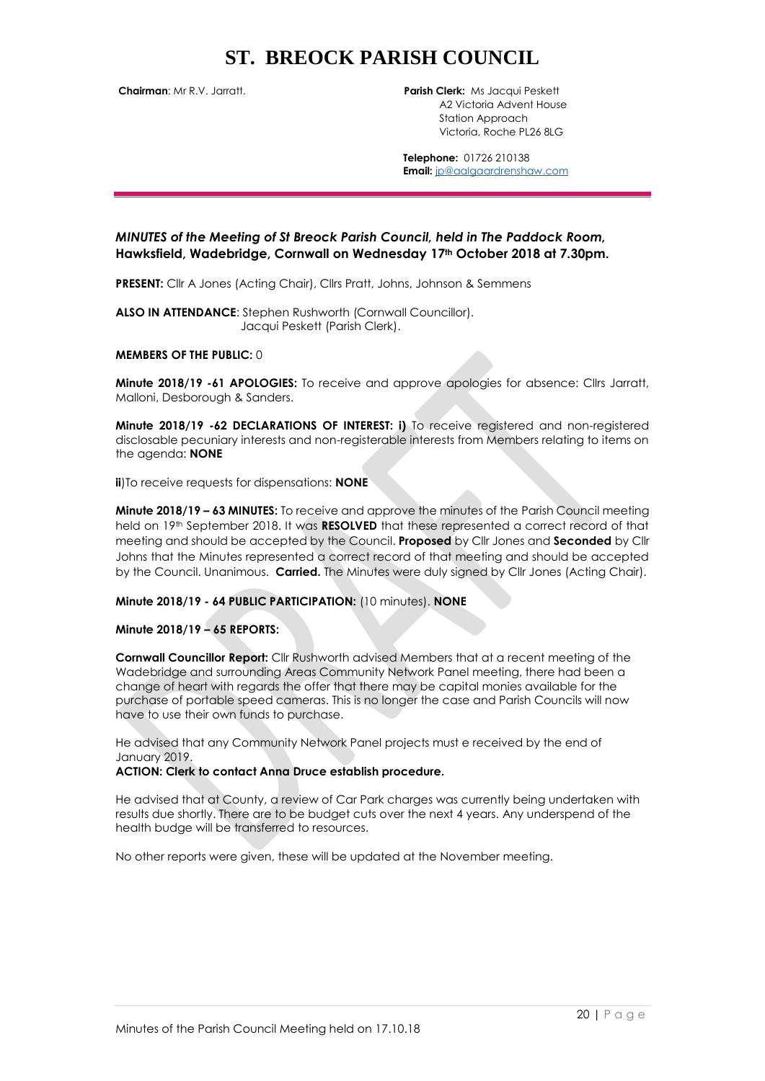**Chairman**: Mr R.V. Jarratt. **Parish Clerk:** Ms Jacqui Peskett A2 Victoria Advent House Station Approach Victoria, Roche PL26 8LG

> **Telephone:** 01726 210138 **Email:** [jp@aalgaardrenshaw.com](mailto:jp@aalgaardrenshaw.com)

## *MINUTES of the Meeting of St Breock Parish Council, held in The Paddock Room,* **Hawksfield, Wadebridge, Cornwall on Wednesday 17th October 2018 at 7.30pm.**

**PRESENT:** Cllr A Jones (Acting Chair), Cllrs Pratt, Johns, Johnson & Semmens

**ALSO IN ATTENDANCE**: Stephen Rushworth (Cornwall Councillor). Jacqui Peskett (Parish Clerk).

#### **MEMBERS OF THE PUBLIC:** 0

**Minute 2018/19 -61 APOLOGIES:** To receive and approve apologies for absence: Cllrs Jarratt, Malloni, Desborough & Sanders.

**Minute 2018/19 -62 DECLARATIONS OF INTEREST: i)** To receive registered and non-registered disclosable pecuniary interests and non-registerable interests from Members relating to items on the agenda: **NONE**

**ii**)To receive requests for dispensations: **NONE** 

**Minute 2018/19 – 63 MINUTES:** To receive and approve the minutes of the Parish Council meeting held on 19<sup>th</sup> September 2018. It was **RESOLVED** that these represented a correct record of that meeting and should be accepted by the Council. **Proposed** by Cllr Jones and **Seconded** by Cllr Johns that the Minutes represented a correct record of that meeting and should be accepted by the Council. Unanimous. **Carried.** The Minutes were duly signed by Cllr Jones (Acting Chair).

## **Minute 2018/19 - 64 PUBLIC PARTICIPATION:** (10 minutes). **NONE**

**Minute 2018/19 – 65 REPORTS:**

**Cornwall Councillor Report:** Cllr Rushworth advised Members that at a recent meeting of the Wadebridge and surrounding Areas Community Network Panel meeting, there had been a change of heart with regards the offer that there may be capital monies available for the purchase of portable speed cameras. This is no longer the case and Parish Councils will now have to use their own funds to purchase.

He advised that any Community Network Panel projects must e received by the end of January 2019.

## **ACTION: Clerk to contact Anna Druce establish procedure.**

He advised that at County, a review of Car Park charges was currently being undertaken with results due shortly. There are to be budget cuts over the next 4 years. Any underspend of the health budge will be transferred to resources.

No other reports were given, these will be updated at the November meeting.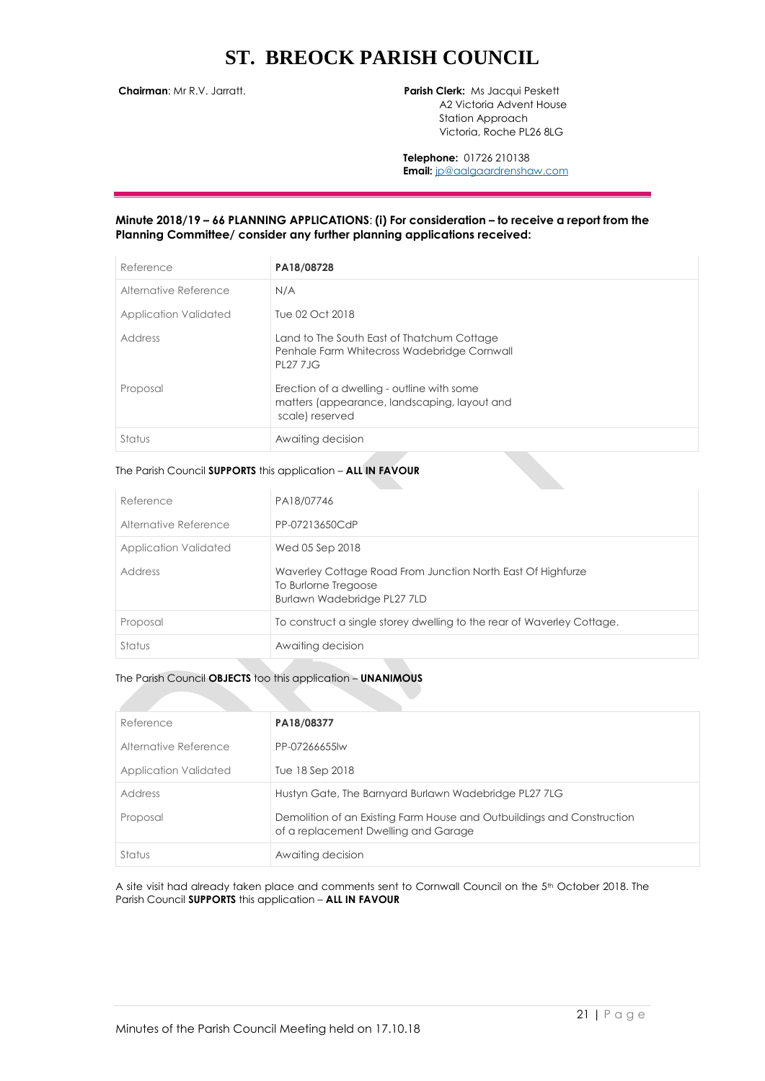**Chairman**: Mr R.V. Jarratt. **Parish Clerk:** Ms Jacqui Peskett A2 Victoria Advent House Station Approach Victoria, Roche PL26 8LG

> **Telephone:** 01726 210138 **Email:** [jp@aalgaardrenshaw.com](mailto:jp@aalgaardrenshaw.com)

## **Minute 2018/19 – 66 PLANNING APPLICATIONS**: **(i) For consideration – to receive a report from the Planning Committee/ consider any further planning applications received:**

| Reference             | PA18/08728                                                                                                    |
|-----------------------|---------------------------------------------------------------------------------------------------------------|
| Alternative Reference | N/A                                                                                                           |
| Application Validated | Tue 02 Oct 2018                                                                                               |
| Address               | Land to The South East of Thatchum Cottage<br>Penhale Farm Whitecross Wadebridge Cornwall<br><b>PL27 7.IG</b> |
| Proposal              | Erection of a dwelling - outline with some<br>matters (appearance, landscaping, layout and<br>scale) reserved |
| Status                | Awaiting decision                                                                                             |

## The Parish Council **SUPPORTS** this application – **ALL IN FAVOUR**

| Reference             | PA18/07746                                                                                                         |  |  |  |
|-----------------------|--------------------------------------------------------------------------------------------------------------------|--|--|--|
| Alternative Reference | PP-07213650CdP                                                                                                     |  |  |  |
| Application Validated | Wed 05 Sep 2018                                                                                                    |  |  |  |
| Address               | Waverley Cottage Road From Junction North East Of Highfurze<br>To Burlorne Tregoose<br>Burlawn Wadebridge PL27 7LD |  |  |  |
| Proposal              | To construct a single storey dwelling to the rear of Waverley Cottage.                                             |  |  |  |
| Status                | Awaiting decision                                                                                                  |  |  |  |

## The Parish Council **OBJECTS** too this application – **UNANIMOUS**

| Reference             | PA18/08377                                                                                                     |
|-----------------------|----------------------------------------------------------------------------------------------------------------|
| Alternative Reference | PP-07266655 W                                                                                                  |
| Application Validated | Tue 18 Sep 2018                                                                                                |
| Address               | Hustyn Gate, The Barnyard Burlawn Wadebridge PL27 7LG                                                          |
| Proposal              | Demolition of an Existing Farm House and Outbuildings and Construction<br>of a replacement Dwelling and Garage |
| Status                | Awaiting decision                                                                                              |

A site visit had already taken place and comments sent to Cornwall Council on the 5th October 2018. The Parish Council **SUPPORTS** this application – **ALL IN FAVOUR**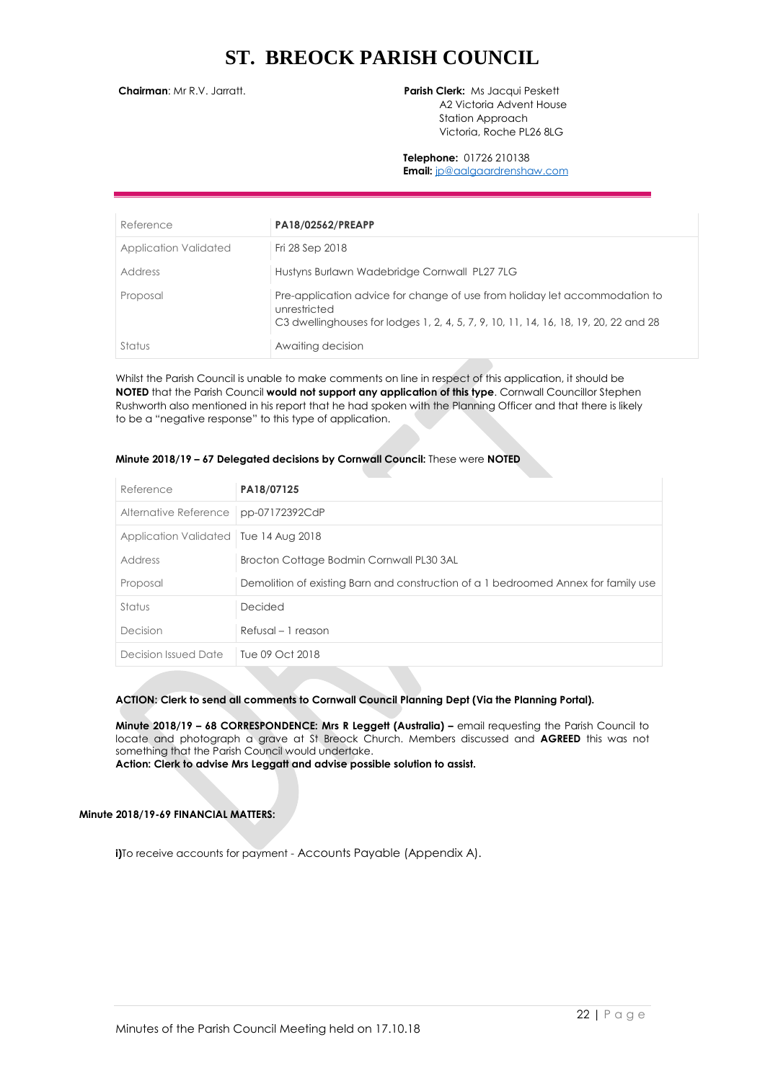**Chairman**: Mr R.V. Jarratt. **Parish Clerk:** Ms Jacqui Peskett A2 Victoria Advent House Station Approach Victoria, Roche PL26 8LG

> **Telephone:** 01726 210138 **Email:** [jp@aalgaardrenshaw.com](mailto:jp@aalgaardrenshaw.com)

| Reference             | PA18/02562/PREAPP                                                                                                                                                                  |
|-----------------------|------------------------------------------------------------------------------------------------------------------------------------------------------------------------------------|
| Application Validated | Fri 28 Sep 2018                                                                                                                                                                    |
| Address               | Hustyns Burlawn Wadebridge Cornwall PL27 7LG                                                                                                                                       |
| Proposal              | Pre-application advice for change of use from holiday let accommodation to<br>unrestricted<br>C3 dwellinghouses for lodges 1, 2, 4, 5, 7, 9, 10, 11, 14, 16, 18, 19, 20, 22 and 28 |
| Status                | Awaiting decision                                                                                                                                                                  |

Whilst the Parish Council is unable to make comments on line in respect of this application, it should be **NOTED** that the Parish Council **would not support any application of this type**. Cornwall Councillor Stephen Rushworth also mentioned in his report that he had spoken with the Planning Officer and that there is likely to be a "negative response" to this type of application.

| Reference                               | PA18/07125                                                                         |
|-----------------------------------------|------------------------------------------------------------------------------------|
| Alternative Reference                   | pp-07172392CdP                                                                     |
| Application Validated   Tue 14 Aug 2018 |                                                                                    |
| Address                                 | Brocton Cottage Bodmin Cornwall PL30 3AL                                           |
| Proposal                                | Demolition of existing Barn and construction of a 1 bedroomed Annex for family use |
| Status                                  | Decided                                                                            |
| Decision                                | $Refusal - 1 reason$                                                               |
| Decision Issued Date                    | Tue 09 Oct 2018                                                                    |

#### **Minute 2018/19 – 67 Delegated decisions by Cornwall Council:** These were **NOTED**

#### **ACTION: Clerk to send all comments to Cornwall Council Planning Dept (Via the Planning Portal).**

**Minute 2018/19 – 68 CORRESPONDENCE: Mrs R Leggett (Australia) –** email requesting the Parish Council to locate and photograph a grave at St Breock Church. Members discussed and **AGREED** this was not something that the Parish Council would undertake. **Action: Clerk to advise Mrs Leggatt and advise possible solution to assist.**

**Minute 2018/19-69 FINANCIAL MATTERS:**

**i)**To receive accounts for payment - Accounts Payable (Appendix A).